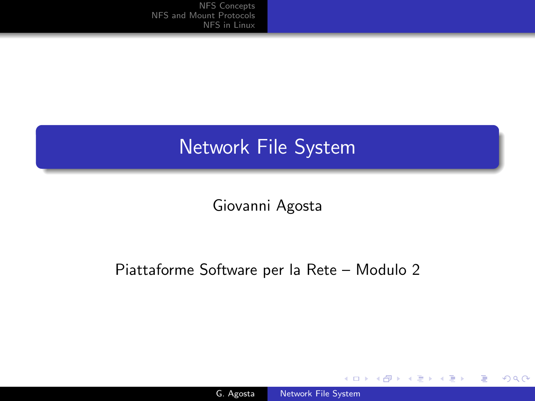# Network File System

Giovanni Agosta

## Piattaforme Software per la Rete – Modulo 2

4日)

4 伊 ) 4 目

 $299$ 

<span id="page-0-0"></span>∍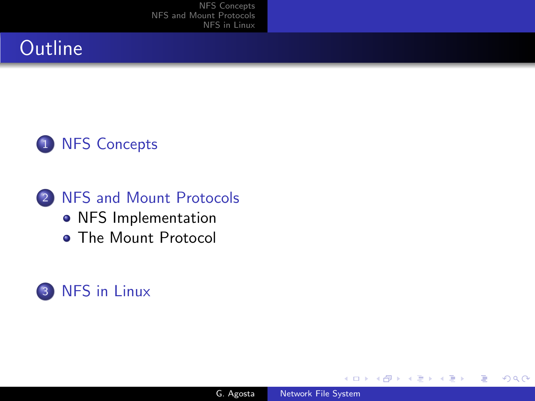# **Outline**



2 [NFS and Mount Protocols](#page-11-0) • [NFS Implementation](#page-11-0) **• [The Mount Protocol](#page-26-0)** 

# 3 [NFS in Linux](#page-31-0)

 $\leftarrow$ 

つくへ

<span id="page-1-0"></span>∍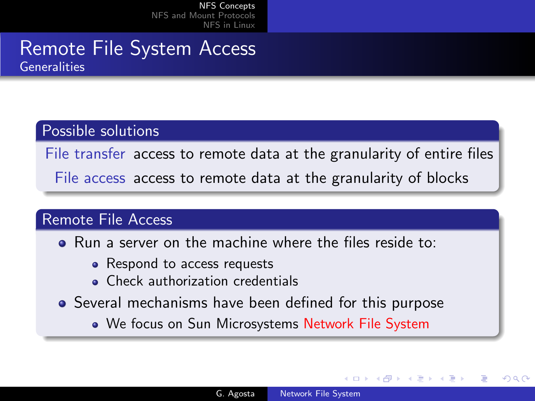# Remote File System Access Generalities

#### Possible solutions

File transfer access to remote data at the granularity of entire files

File access access to remote data at the granularity of blocks

#### Remote File Access

- Run a server on the machine where the files reside to:
	- Respond to access requests
	- Check authorization credentials
- Several mechanisms have been defined for this purpose
	- We focus on Sun Microsystems Network File System

<span id="page-2-0"></span>つくへ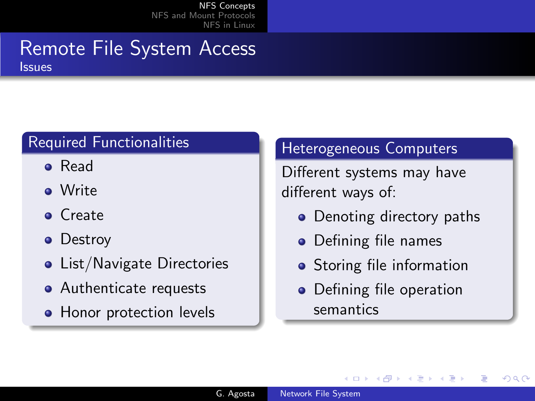#### Remote File System Access Issues

# Required Functionalities

- Read
- Write
- **o** Create
- Destroy
- List/Navigate Directories
- Authenticate requests
- Honor protection levels

# Heterogeneous Computers

Different systems may have different ways of:

- Denoting directory paths
- Defining file names
- **•** Storing file information
- Defining file operation semantics

つくい

 $\leftarrow$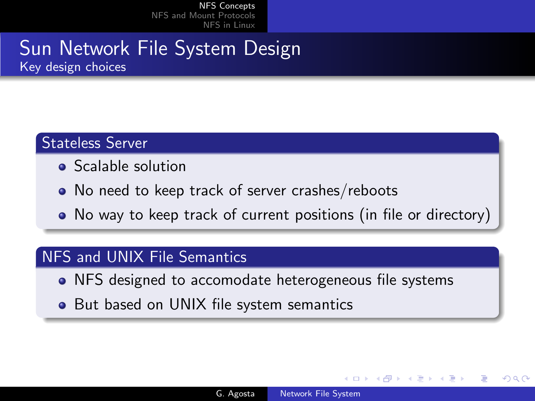# Sun Network File System Design Key design choices

## Stateless Server

- Scalable solution
- No need to keep track of server crashes/reboots
- No way to keep track of current positions (in file or directory)

### NFS and UNIX File Semantics

- NFS designed to accomodate heterogeneous file systems
- But based on UNIX file system semantics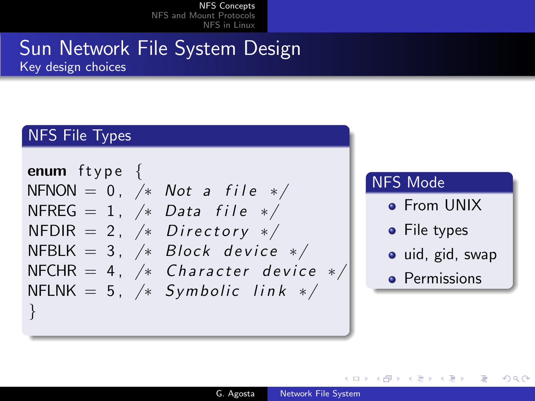# Sun Network File System Design Key design choices

## NFS File Types



### NFS Mode

→ 何 ▶ → 手 ▶

- **•** From UNIX
- File types
- uid, gid, swap

<span id="page-5-0"></span> $\Omega$ 

**•** Permissions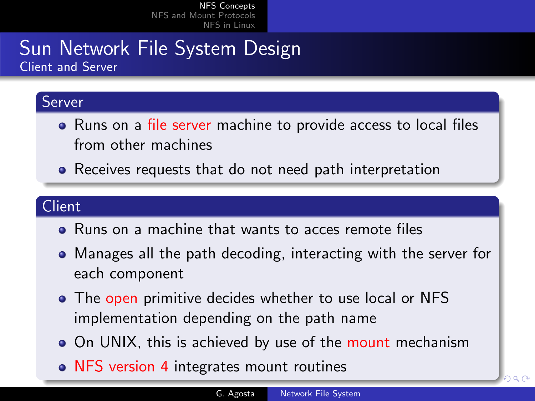# Sun Network File System Design Client and Server

#### Server

- Runs on a file server machine to provide access to local files from other machines
- Receives requests that do not need path interpretation

# Client

- Runs on a machine that wants to acces remote files
- Manages all the path decoding, interacting with the server for each component
- The open primitive decides whether to use local or NFS implementation depending on the path name
- On UNIX, this is achieved by use of the mount mechanism
- NFS ver[s](#page-5-0)ion 4 integrates mount routines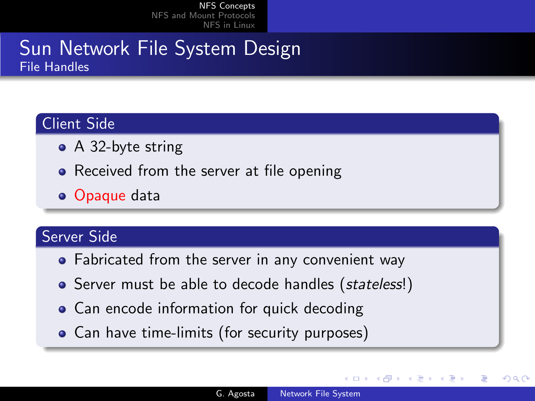# Sun Network File System Design File Handles

# Client Side

- A 32-byte string
- Received from the server at file opening
- Opaque data

## Server Side

- Fabricated from the server in any convenient way
- Server must be able to decode handles (stateless!)
- Can encode information for quick decoding
- Can have time-limits (for security purposes)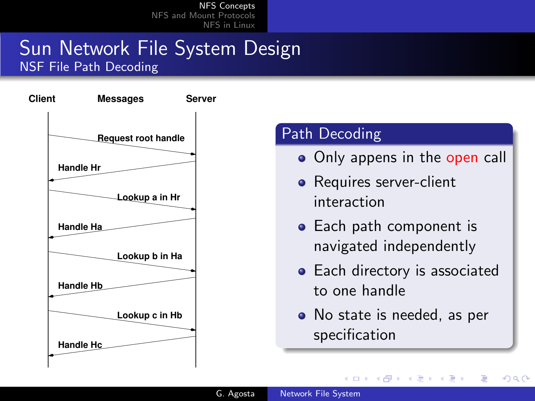# Sun Network File System Design NSF File Path Decoding



# Path Decoding

- Only appens in the open call
- Requires server-client interaction
- Each path component is navigated independently
- Each directory is associated to one handle
- No state is needed, as per specification

**K 何 ▶ 【 手** 

つくい

 $\sim$   $\sim$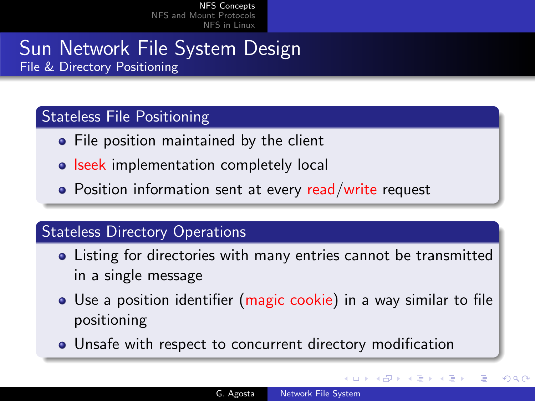# Sun Network File System Design File & Directory Positioning

# Stateless File Positioning

- File position maintained by the client
- **Iseek implementation completely local**
- Position information sent at every read/write request

# **Stateless Directory Operations**

- Listing for directories with many entries cannot be transmitted in a single message
- Use a position identifier (magic cookie) in a way similar to file positioning
- <span id="page-9-0"></span>Unsafe with respect to concurrent directory modification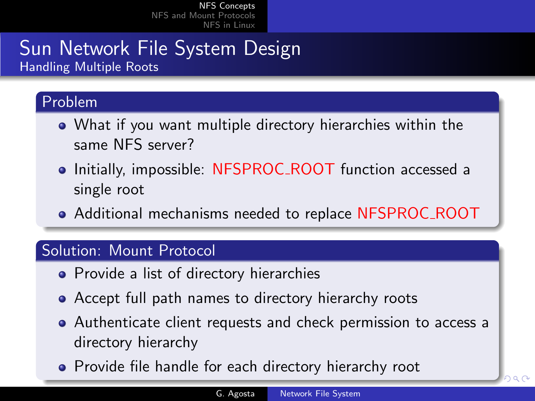# Sun Network File System Design Handling Multiple Roots

# Problem

- What if you want multiple directory hierarchies within the same NFS server?
- Initially, impossible: NFSPROC\_ROOT function accessed a single root
- Additional mechanisms needed to replace NFSPROC ROOT

## Solution: Mount Protocol

- Provide a list of directory hierarchies
- Accept full path names to directory hierarchy roots
- Authenticate client requests and check permission to access a directory hierarchy
- <span id="page-10-0"></span>• Provide file handle for each directory hi[era](#page-9-0)[rc](#page-11-0)[h](#page-9-0)[y r](#page-10-0)[o](#page-1-0)o[t](#page-2-0)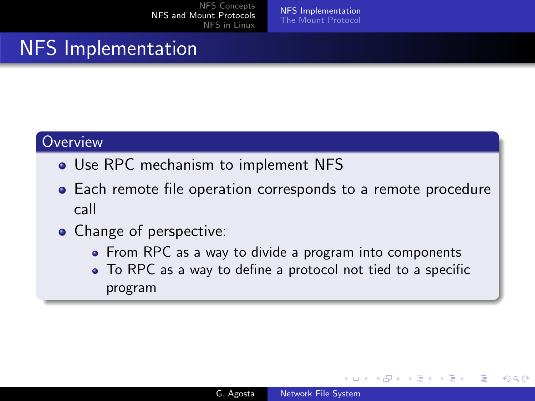<span id="page-11-0"></span>[NFS Implementation](#page-11-0) [The Mount Protocol](#page-26-0)

# NFS Implementation

### **Overview**

- Use RPC mechanism to implement NFS
- Each remote file operation corresponds to a remote procedure call
- Change of perspective:
	- From RPC as a way to divide a program into components
	- To RPC as a way to define a protocol not tied to a specific program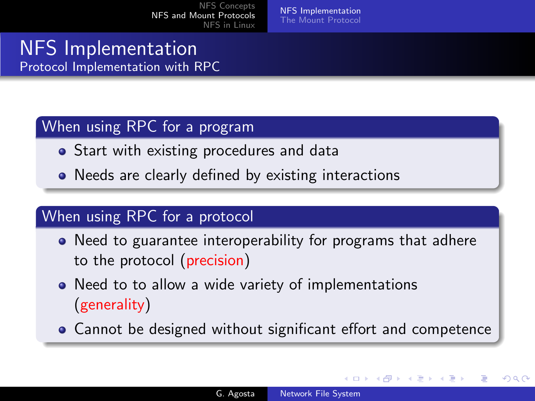[NFS Implementation](#page-11-0) [The Mount Protocol](#page-26-0)

# NFS Implementation Protocol Implementation with RPC

### When using RPC for a program

- **•** Start with existing procedures and data
- Needs are clearly defined by existing interactions

## When using RPC for a protocol

- Need to guarantee interoperability for programs that adhere to the protocol (precision)
- Need to to allow a wide variety of implementations (generality)
- Cannot be designed without significant effort and competence

a mills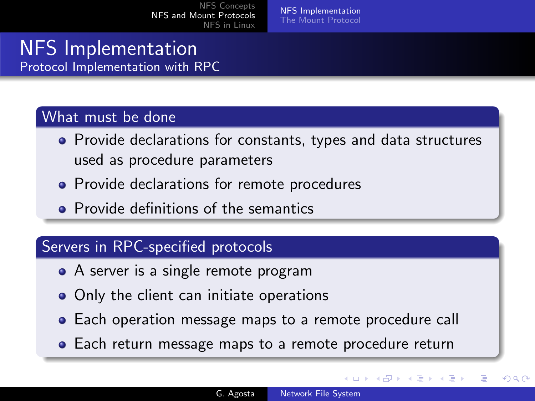# NFS Implementation Protocol Implementation with RPC

### What must be done

- Provide declarations for constants, types and data structures used as procedure parameters
- Provide declarations for remote procedures
- **Provide definitions of the semantics**

## Servers in RPC-specified protocols

- A server is a single remote program
- Only the client can initiate operations
- Each operation message maps to a remote procedure call
- Each return message maps to a remote procedure return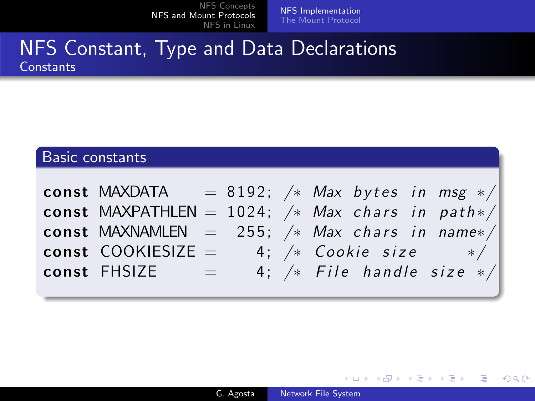[NFS Implementation](#page-11-0) [The Mount Protocol](#page-26-0)

# NFS Constant, Type and Data Declarations **Constants**

## Basic constants

| const MAXDATA = 8192; /* Max bytes in msg */       |  |  |  |                               |
|----------------------------------------------------|--|--|--|-------------------------------|
| const MAXPATHLEN = $1024$ ; /* Max chars in path*/ |  |  |  |                               |
| const MAXNAMLEN = 255; $/*$ Max chars in name*/    |  |  |  |                               |
| <b>const</b> COOKIESIZE = $4;$ /* Cookie size */   |  |  |  |                               |
| $const$ $FHSIZE$ =                                 |  |  |  | 4; $/*$ File handle size $*/$ |

4 0 8

- 4母 ) 4日

э  $\sim$ 重

 $\sim$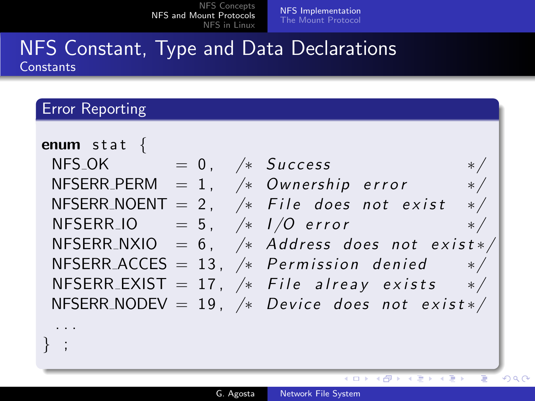[NFS Implementation](#page-11-0) [The Mount Protocol](#page-26-0)

# NFS Constant, Type and Data Declarations **Constants**

### Error Reporting

| enum stat $\{$<br>$NFS_OK$ = 0, /* Success | $\ast/$                                          |
|--------------------------------------------|--------------------------------------------------|
| NFSERR_PERM $= 1,$ /* Ownership error      | $*$ /                                            |
|                                            | NFSERR_NOENT = 2, $/*$ File does not exist $*/$  |
| NFSERR_IO = 5, $/*$ $1/O$ error            | $\frac{1}{\sqrt{2}}$                             |
|                                            | NFSERR_NXIO = 6, $/*$ Address does not exist */  |
|                                            | NFSERR_ACCES = 13, $/*$ Permission denied $*/$   |
|                                            | NFSERR_EXIST = 17, $/*$ File alreay exists $*/$  |
|                                            | NFSERR_NODEV = 19, $/*$ Device does not exist */ |
|                                            |                                                  |
|                                            |                                                  |

 $\leftarrow$   $\Box$ 

メタトメ ミトメ

Þ

重き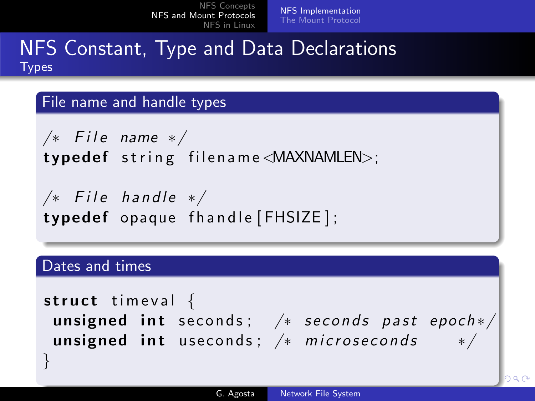[NFS Implementation](#page-11-0) [The Mount Protocol](#page-26-0)

# NFS Constant, Type and Data Declarations **Types**

#### File name and handle types

 $/*$  File name  $*/$  $type def$  string filename $\triangle$ MAXNAMLEN $>$ ;

 $/*$  File handle  $*/$ typedef opaque fhandle [FHSIZE];

### Dates and times

}

```
struct timeval \{unsigned int seconds; /* seconds
unsigned int useconds; /* microsec
```

$$
\left.\begin{matrix} \textit{past} \textit{ epoch} \ast / \\ \textit{onds} \textit{ } \ast / \end{matrix} \right|
$$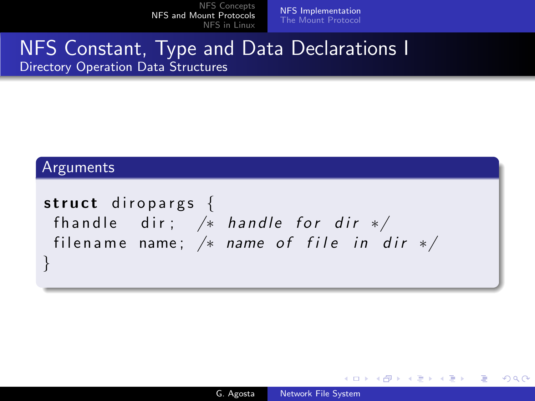[NFS Implementation](#page-11-0) [The Mount Protocol](#page-26-0)

# NFS Constant, Type and Data Declarations I Directory Operation Data Structures

#### Arguments

```
struct diropargs \{fhandle dir; /* handle for dir */filename name; /* name of file in dir */
}
```
and in

 $\rightarrow$   $\oplus$   $\rightarrow$   $\rightarrow$   $\oplus$   $\rightarrow$ 

 $\Omega$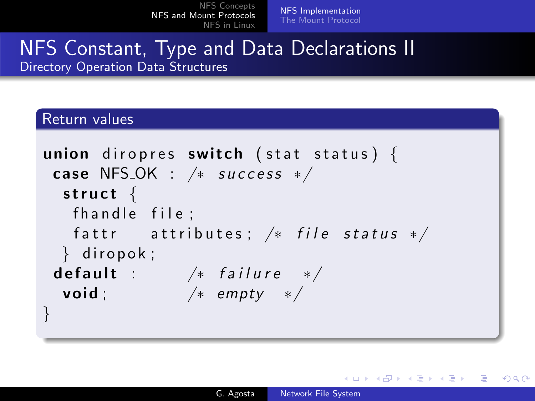[NFS Implementation](#page-11-0) [The Mount Protocol](#page-26-0)

# NFS Constant, Type and Data Declarations II Directory Operation Data Structures

### Return values

```
union diropres switch (stat status) {
case NFS_OK : /* success */struct \{fhandle file:
  fattr attributes; /* file status */\} diropok;
default : /* failure */void ; /* empty */}
```
イロト イ母 トイヨ トイヨ トー

 $\Omega$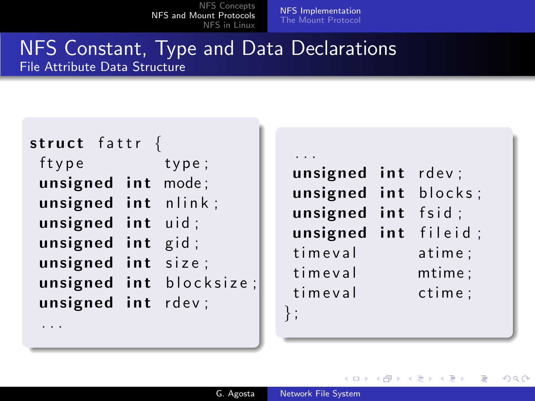[NFS Implementation](#page-11-0) [The Mount Protocol](#page-26-0)

# NFS Constant, Type and Data Declarations File Attribute Data Structure

| struct fattr {      |                         |
|---------------------|-------------------------|
| ftype               | type;                   |
| unsigned int mode;  |                         |
| unsigned int nlink; |                         |
| unsigned int uid;   |                         |
| unsigned int gid;   |                         |
| unsigned int size;  |                         |
|                     | unsigned int blocksize; |
| unsigned int rdev;  |                         |
|                     |                         |

. . .

. . . unsigned int rdev; unsigned int blocks; unsigned int fsid; unsigned int fileid; tim e val atime; tim e val mtime; tim e val ctime; } ;

4日 8

**K 何 ▶ 【 手**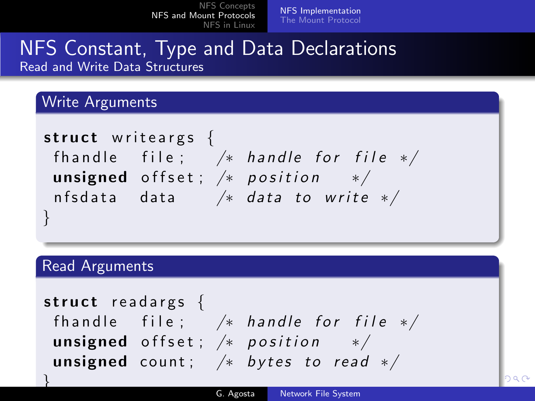[NFS Implementation](#page-11-0) [The Mount Protocol](#page-26-0)

# NFS Constant, Type and Data Declarations Read and Write Data Structures

### Write Arguments

s t r u c t w r i t e a r g s { f h a n d l e f i l e ; /∗ h a n d l e f o r f i l e ∗/ unsigned o f f s e t ; /∗ p o s i t i o n ∗/ n f s d a t a da ta /∗ da ta t o w r i t e ∗/ }

### Read Arguments

}

struct readargs  $\{$ fhandle file;  $/*$ unsigned offset;  $/*$ unsigned count;  $/*$ 

$$
\begin{array}{ccc}\n\text{handle} & \text{for} & \text{file} & \text{*}\n/ \\
\text{position} & \text{*}\n/ \\
\text{bytes} & \text{to} & \text{read} & \text{*}\n\end{array}
$$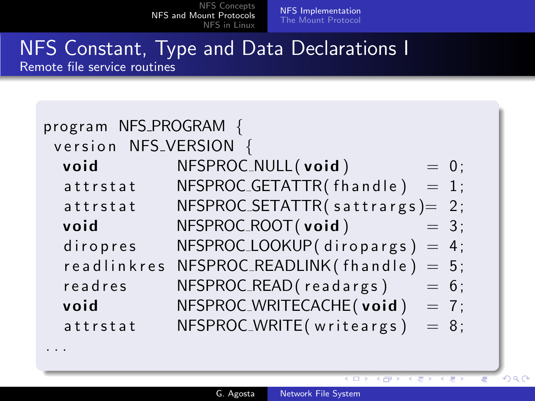. . .

[NFS Implementation](#page-11-0) [The Mount Protocol](#page-26-0)

### NFS Constant, Type and Data Declarations I Remote file service routines

| program NFS_PROGRAM {<br>version NFS <sub>-VERSION</sub> |                                      |  |  |  |  |
|----------------------------------------------------------|--------------------------------------|--|--|--|--|
| void                                                     | NFSPROC_NULL(void)<br>$= 0;$         |  |  |  |  |
| attrstat                                                 | NFSPROC_GETATTR(fhandle)<br>$= 1$ ;  |  |  |  |  |
| attrstat                                                 | $NFSPROC\_SETATTR(s at trargs) = 2;$ |  |  |  |  |
| void                                                     | NFSPROC_ROOT(void)<br>$= 3$ ;        |  |  |  |  |
| diropres                                                 | NFSPROC_LOOKUP(diropargs) = $4$ ;    |  |  |  |  |
| readlinkres                                              | NFSPROC_READLINK (fhandle) = $5$ ;   |  |  |  |  |
| readres                                                  | NFSPROC_READ(readargs)<br>$= 6;$     |  |  |  |  |
| void                                                     | NFSPROC_WRITECACHE(void)<br>$= 7;$   |  |  |  |  |
| attrstat                                                 | NFSPROC_WRITE(writeargs)<br>$= 8$ ;  |  |  |  |  |
|                                                          |                                      |  |  |  |  |

 $\overline{1}$ 

4 円 トー4 Ξ  $2990$ 

 $\equiv$   $\rightarrow$ क ₹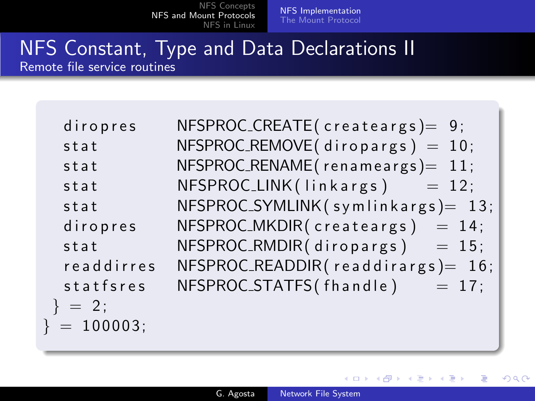[NFS Implementation](#page-11-0) [The Mount Protocol](#page-26-0)

### NFS Constant, Type and Data Declarations II Remote file service routines

| diropres       | $NFSPROC_CREATE$ (createargs) = 9;    |
|----------------|---------------------------------------|
| stat           | $NFSPROC$ -REMOVE(diropargs) = 10;    |
| stat           | $NFSPROC$ _RENAME(renameargs) = 11;   |
| stat           | $NFSPROC.LINK(linkargs) = 12;$        |
| stat           | $NFSPROC_SYMLINK(symlinkargs) = 13;$  |
| diropres       | $NFSPROC_MKDIR(createst args) = 14;$  |
| stat           | NFSPROC_RMDIR(diropargs)<br>$= 15$ ;  |
| readdirres     | $NFSPROC\_READDIR(readdirargs) = 16;$ |
| statfsres      | NFSPROC_STATFS(fhandle)<br>$= 17$ ;   |
| $\}$ = 2;      |                                       |
| $\} = 100003;$ |                                       |
|                |                                       |

4 0 8

4 何 ) - 4

性

つくへ

∍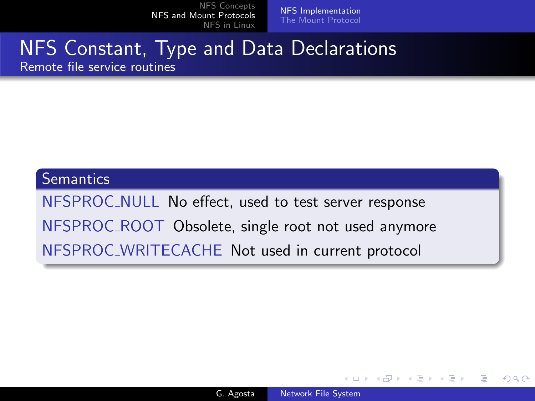[NFS Implementation](#page-11-0) [The Mount Protocol](#page-26-0)

### NFS Constant, Type and Data Declarations Remote file service routines

#### **Semantics**

NFSPROC NULL No effect, used to test server response NFSPROC ROOT Obsolete, single root not used anymore NFSPROC WRITECACHE Not used in current protocol

and in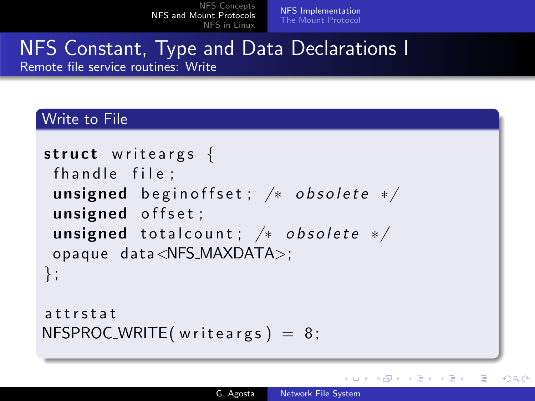[NFS Implementation](#page-11-0) [The Mount Protocol](#page-26-0)

# NFS Constant, Type and Data Declarations I Remote file service routines: Write

### Write to File

```
struct writeargs \{fhandle file;
unsigned begin of fset; /* obsolete */unsigned offset;
unsigned total count; /* obsolete */opaque data<NFS_MAXDATA>;
} ;
```

```
a t t r s t a t
NFSPROC_WRITE(writeargs) = 8;
```
イロト イ母ト イヨト イ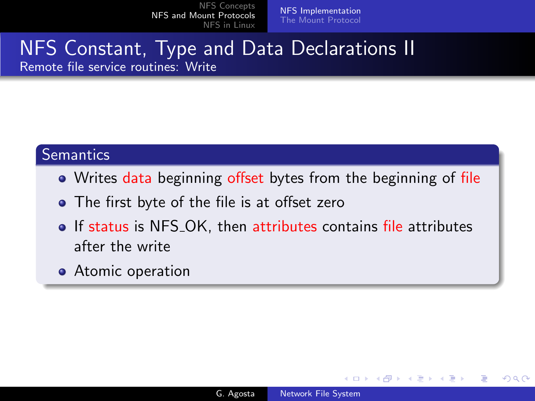[NFS Implementation](#page-11-0) [The Mount Protocol](#page-26-0)

# NFS Constant, Type and Data Declarations II Remote file service routines: Write

## **Semantics**

- Writes data beginning offset bytes from the beginning of file
- The first byte of the file is at offset zero
- If status is NFS\_OK, then attributes contains file attributes after the write
- **•** Atomic operation

 $\sim$   $\sim$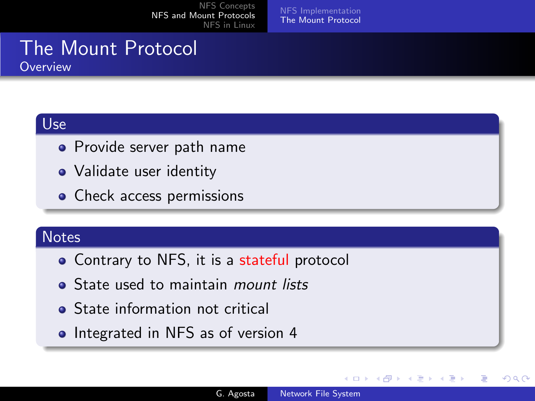[NFS Implementation](#page-11-0) [The Mount Protocol](#page-26-0)

### The Mount Protocol **Overview**

# Use

- Provide server path name
- Validate user identity
- Check access permissions

## **Notes**

- Contrary to NFS, it is a stateful protocol
- State used to maintain *mount lists*
- **•** State information not critical
- Integrated in NFS as of version 4

<span id="page-26-0"></span> $\leftarrow$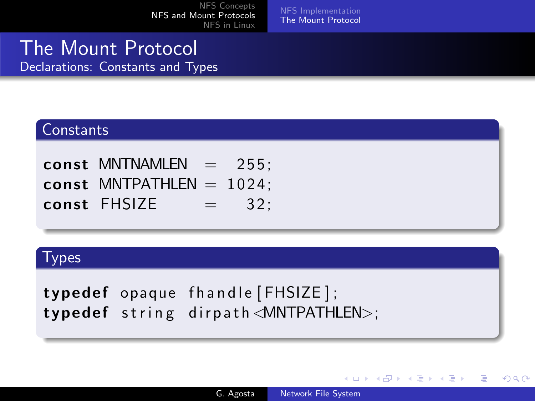[NFS Implementation](#page-11-0) [The Mount Protocol](#page-26-0)

## The Mount Protocol Declarations: Constants and Types

### **Constants**

const MNTNAMLEN  $= 255$ ; const MNTPATHLEN  $= 1024$ : const FHSIZE  $=$  32:

#### Types

typedef opaque fhandle [FHSIZE]; typedef string dirpath  $\triangle$ MNTPATHLEN $>$ ;

4 0 8

**K 何 ▶ 【 手**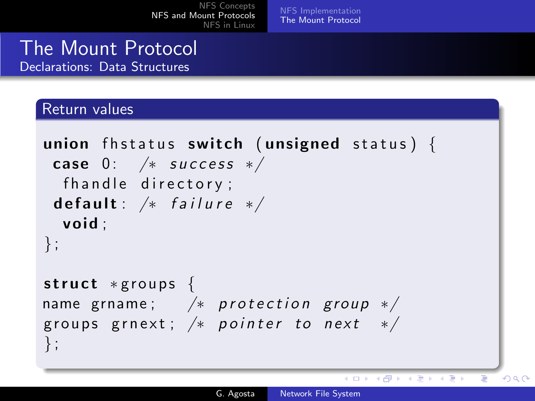[NFS Implementation](#page-11-0) [The Mount Protocol](#page-26-0)

## The Mount Protocol Declarations: Data Structures

#### Return values

```
union fhstatus switch (unsigned status) {
case 0: /* success */fhandle directory;
default: /* failure */void ;
} ;
struct *groups {
name grname; /* protection group */groups grnext; /* pointer to next */} ;
```
 $QQ$ 

メロメ メ母メ メミメ メミメ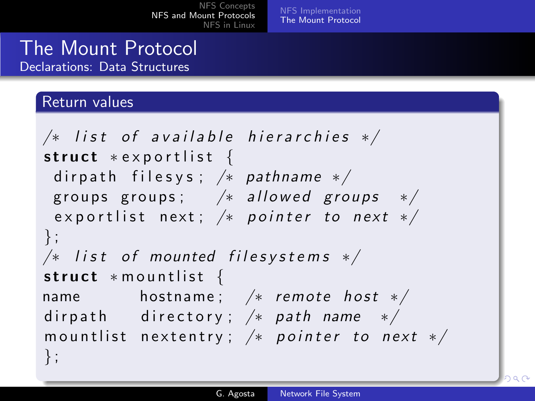[NFS Implementation](#page-11-0) [The Mount Protocol](#page-26-0)

### The Mount Protocol Declarations: Data Structures

### Return values

```
/* list of available hierarchies */struct * exportlist {
 dirpath filesys; /* pathname */groups groups; /* allowed groups */exportlist next; /* pointer to next */} ;
/* list of mounted filesystems */struct * mountlist {
name hostname; /* remote host */dirpath directory; /* path name */
mountlist nextentry; /* pointer to next */} ;
```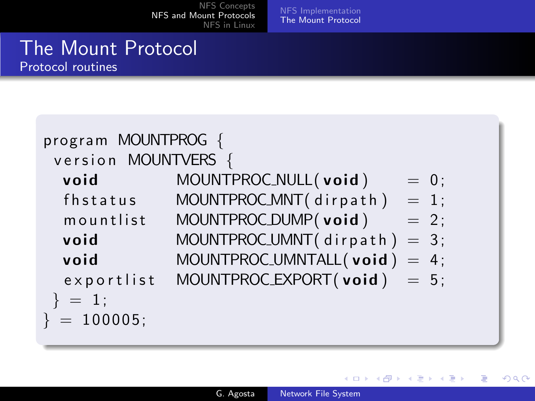[NFS Implementation](#page-11-0) [The Mount Protocol](#page-26-0)

# The Mount Protocol Protocol routines

| program MOUNTPROG {<br>version MOUNTVERS { |                                      |
|--------------------------------------------|--------------------------------------|
| void                                       | MOUNTPROC_NULL(void)<br>$= 0;$       |
| fhstatus                                   | MOUNTPROC_MNT(dirpath)<br>$= 1;$     |
| mountlist                                  | MOUNTPROC_DUMP(void)<br>$= 2;$       |
| void                                       | MOUNTPROC_UMNT $($ dirpath $) = 3$ ; |
| void                                       | MOUNTPROC_UMNTALL $(void) = 4$ ;     |
| exportlist                                 | MOUNTPROC_EXPORT $(void) = 5$ ;      |
| $\} = 1;$                                  |                                      |
| $\} = 100005;$                             |                                      |
|                                            |                                      |

**K ロ ▶ K 何 ▶ K** 

э

 $\sim$ к э **B**  È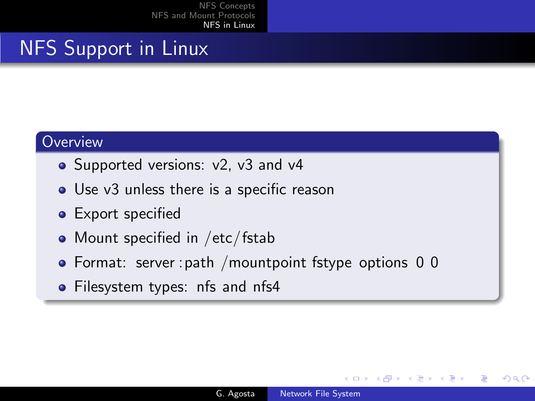# NFS Support in Linux

#### **Overview**

- Supported versions: v2, v3 and v4
- Use v3 unless there is a specific reason
- **•** Export specified
- Mount specified in /etc/fstab
- Format: server : path / mountpoint fstype options 0 0
- <span id="page-31-0"></span>• Filesystem types: nfs and nfs4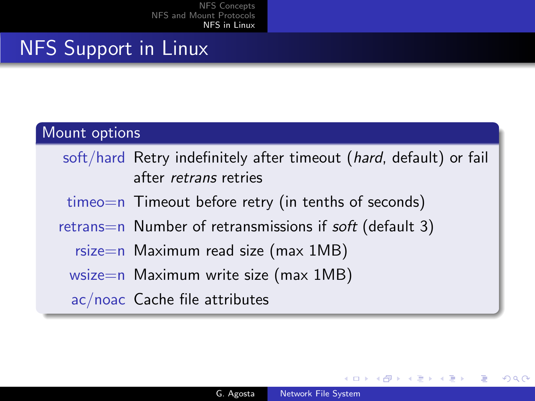# NFS Support in Linux

### Mount options

- soft/hard Retry indefinitely after timeout (hard, default) or fail after retrans retries
- timeo=n Timeout before retry (in tenths of seconds)
- retrans=n Number of retransmissions if soft (default 3)
	- rsize=n Maximum read size (max  $1MB$ )
	- wsize=n Maximum write size (max 1MB)
	- ac/noac Cache file attributes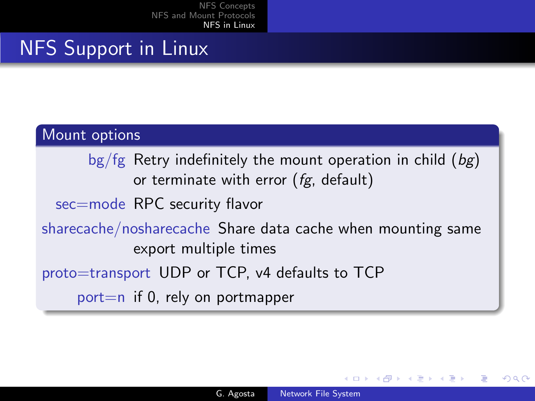# NFS Support in Linux

### Mount options

bg/fg Retry indefinitely the mount operation in child  $(bg)$ or terminate with error  $(fg,$  default)

sec=mode RPC security flavor

sharecache/nosharecache Share data cache when mounting same export multiple times

proto=transport UDP or TCP, v4 defaults to TCP

port $=n$  if 0, rely on portmapper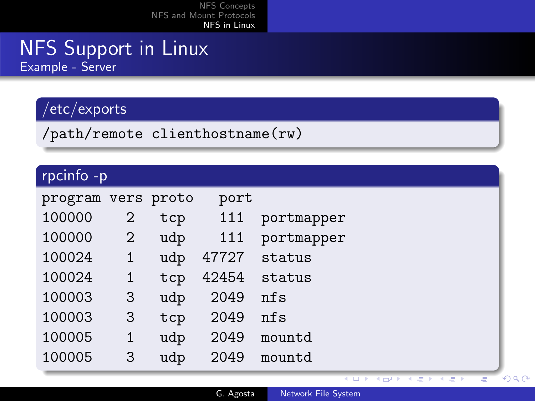# NFS Support in Linux Example - Server

# /etc/exports

/path/remote clienthostname(rw)

# rpcinfo -p

| program |   | vers proto | port  |            |
|---------|---|------------|-------|------------|
| 100000  | 2 | tcp        | 111   | portmapper |
| 100000  | 2 | udp        | 111   | portmapper |
| 100024  | 1 | udp        | 47727 | status     |
| 100024  | 1 | tcp        | 42454 | status     |
| 100003  | 3 | udp        | 2049  | nfs        |
| 100003  | 3 | tcp        | 2049  | nfs        |
| 100005  | 1 | udp        | 2049  | mountd     |
| 100005  | 3 | udp        | 2049  | mountd     |

 $\overline{1}$ 

ъ

**CEP E** 

₹

 $2990$ 

Ξ

Ξ